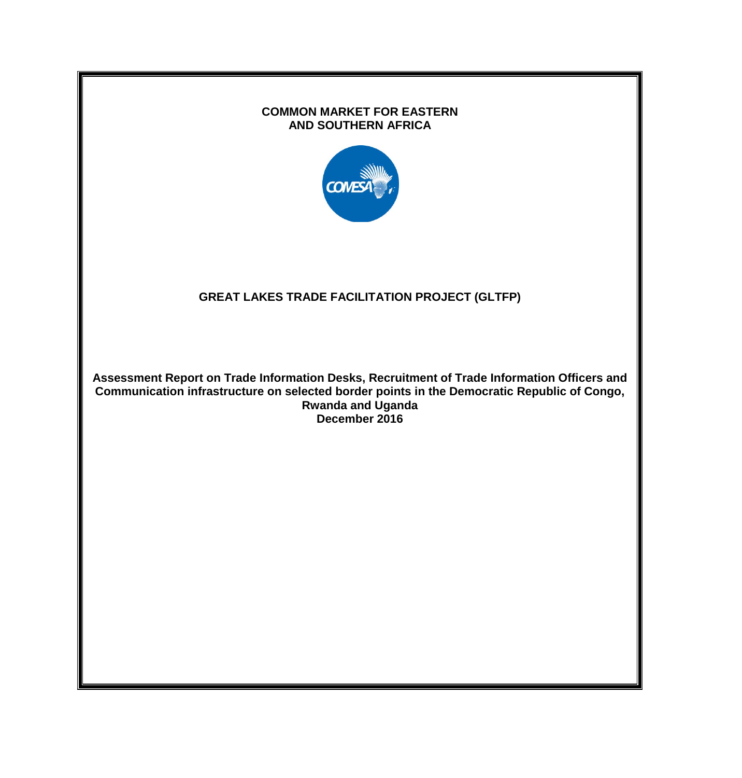# **COMMON MARKET FOR EASTERN AND SOUTHERN AFRICA COMES GREAT LAKES TRADE FACILITATION PROJECT (GLTFP) Assessment Report on Trade Information Desks, Recruitment of Trade Information Officers and Communication infrastructure on selected border points in the Democratic Republic of Congo, Rwanda and Uganda December 2016**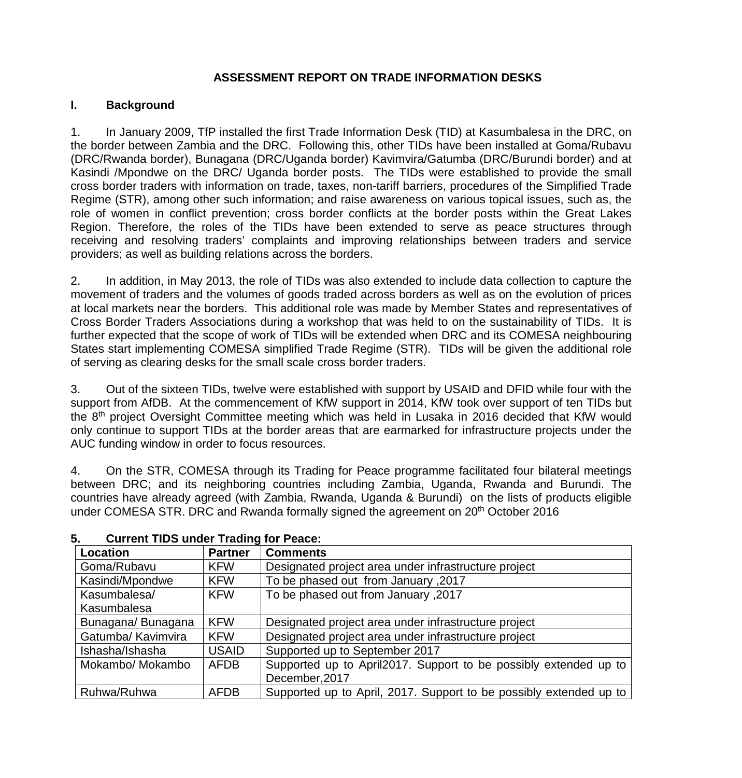#### **ASSESSMENT REPORT ON TRADE INFORMATION DESKS**

#### **I. Background**

1. In January 2009, TfP installed the first Trade Information Desk (TID) at Kasumbalesa in the DRC, on the border between Zambia and the DRC. Following this, other TIDs have been installed at Goma/Rubavu (DRC/Rwanda border), Bunagana (DRC/Uganda border) Kavimvira/Gatumba (DRC/Burundi border) and at Kasindi /Mpondwe on the DRC/ Uganda border posts. The TIDs were established to provide the small cross border traders with information on trade, taxes, non-tariff barriers, procedures of the Simplified Trade Regime (STR), among other such information; and raise awareness on various topical issues, such as, the role of women in conflict prevention; cross border conflicts at the border posts within the Great Lakes Region. Therefore, the roles of the TIDs have been extended to serve as peace structures through receiving and resolving traders' complaints and improving relationships between traders and service providers; as well as building relations across the borders.

2. In addition, in May 2013, the role of TIDs was also extended to include data collection to capture the movement of traders and the volumes of goods traded across borders as well as on the evolution of prices at local markets near the borders. This additional role was made by Member States and representatives of Cross Border Traders Associations during a workshop that was held to on the sustainability of TIDs. It is further expected that the scope of work of TIDs will be extended when DRC and its COMESA neighbouring States start implementing COMESA simplified Trade Regime (STR). TIDs will be given the additional role of serving as clearing desks for the small scale cross border traders.

3. Out of the sixteen TIDs, twelve were established with support by USAID and DFID while four with the support from AfDB. At the commencement of KfW support in 2014, KfW took over support of ten TIDs but the 8th project Oversight Committee meeting which was held in Lusaka in 2016 decided that KfW would only continue to support TIDs at the border areas that are earmarked for infrastructure projects under the AUC funding window in order to focus resources.

4. On the STR, COMESA through its Trading for Peace programme facilitated four bilateral meetings between DRC; and its neighboring countries including Zambia, Uganda, Rwanda and Burundi. The countries have already agreed (with Zambia, Rwanda, Uganda & Burundi) on the lists of products eligible under COMESA STR. DRC and Rwanda formally signed the agreement on 20<sup>th</sup> October 2016

| Location           | <b>Partner</b> | <b>Comments</b>                                                    |
|--------------------|----------------|--------------------------------------------------------------------|
| Goma/Rubavu        | <b>KFW</b>     | Designated project area under infrastructure project               |
| Kasindi/Mpondwe    | <b>KFW</b>     | To be phased out from January , 2017                               |
| Kasumbalesa/       | <b>KFW</b>     | To be phased out from January, 2017                                |
| Kasumbalesa        |                |                                                                    |
| Bunagana/Bunagana  | <b>KFW</b>     | Designated project area under infrastructure project               |
| Gatumba/ Kavimvira | <b>KFW</b>     | Designated project area under infrastructure project               |
| Ishasha/Ishasha    | <b>USAID</b>   | Supported up to September 2017                                     |
| Mokambo/ Mokambo   | <b>AFDB</b>    | Supported up to April2017. Support to be possibly extended up to   |
|                    |                | December, 2017                                                     |
| Ruhwa/Ruhwa        | <b>AFDB</b>    | Supported up to April, 2017. Support to be possibly extended up to |

#### **5. Current TIDS under Trading for Peace:**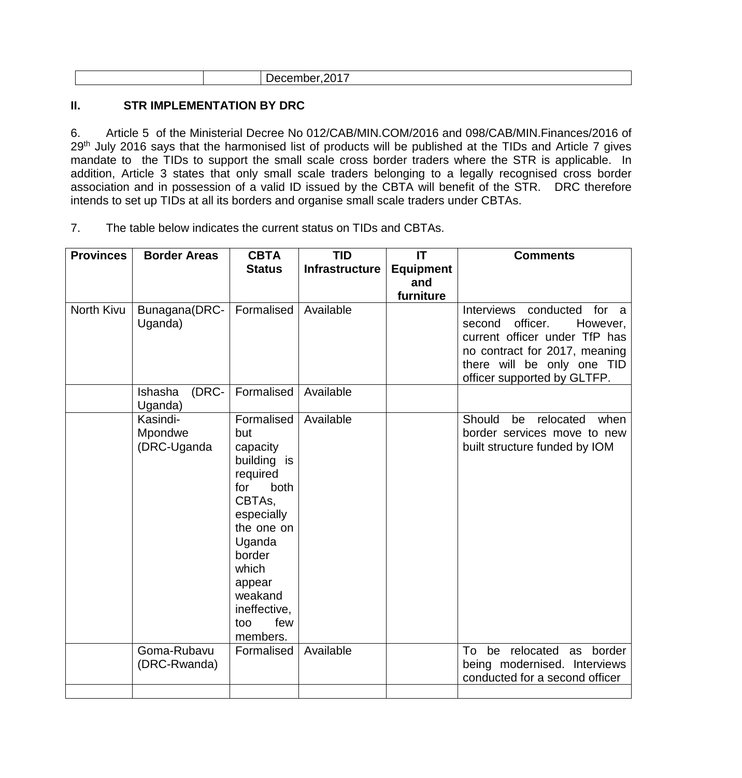|--|

#### **II. STR IMPLEMENTATION BY DRC**

6. Article 5 of the Ministerial Decree No 012/CAB/MIN.COM/2016 and 098/CAB/MIN.Finances/2016 of 29<sup>th</sup> July 2016 says that the harmonised list of products will be published at the TIDs and Article 7 gives mandate to the TIDs to support the small scale cross border traders where the STR is applicable. In addition, Article 3 states that only small scale traders belonging to a legally recognised cross border association and in possession of a valid ID issued by the CBTA will benefit of the STR. DRC therefore intends to set up TIDs at all its borders and organise small scale traders under CBTAs.

7. The table below indicates the current status on TIDs and CBTAs.

| <b>Provinces</b> | <b>Border Areas</b>                | <b>CBTA</b>                                                                                                                                                                                               | <b>TID</b>            | IT               | <b>Comments</b>                                                                                                                                                                             |
|------------------|------------------------------------|-----------------------------------------------------------------------------------------------------------------------------------------------------------------------------------------------------------|-----------------------|------------------|---------------------------------------------------------------------------------------------------------------------------------------------------------------------------------------------|
|                  |                                    | <b>Status</b>                                                                                                                                                                                             | <b>Infrastructure</b> | <b>Equipment</b> |                                                                                                                                                                                             |
|                  |                                    |                                                                                                                                                                                                           |                       | and              |                                                                                                                                                                                             |
|                  |                                    |                                                                                                                                                                                                           |                       | furniture        |                                                                                                                                                                                             |
| North Kivu       | Bunagana(DRC-<br>Uganda)           | Formalised                                                                                                                                                                                                | Available             |                  | Interviews conducted for a<br>officer.<br>second<br>However,<br>current officer under TfP has<br>no contract for 2017, meaning<br>there will be only one TID<br>officer supported by GLTFP. |
|                  | (DRC-<br>Ishasha<br>Uganda)        | Formalised                                                                                                                                                                                                | Available             |                  |                                                                                                                                                                                             |
|                  | Kasindi-<br>Mpondwe<br>(DRC-Uganda | Formalised<br>but<br>capacity<br>building is<br>required<br>both<br>for<br>CBTAs,<br>especially<br>the one on<br>Uganda<br>border<br>which<br>appear<br>weakand<br>ineffective,<br>few<br>too<br>members. | Available             |                  | Should<br>be<br>relocated<br>when<br>border services move to new<br>built structure funded by IOM                                                                                           |
|                  | Goma-Rubavu<br>(DRC-Rwanda)        | Formalised                                                                                                                                                                                                | Available             |                  | relocated as border<br>To be<br>being modernised. Interviews<br>conducted for a second officer                                                                                              |
|                  |                                    |                                                                                                                                                                                                           |                       |                  |                                                                                                                                                                                             |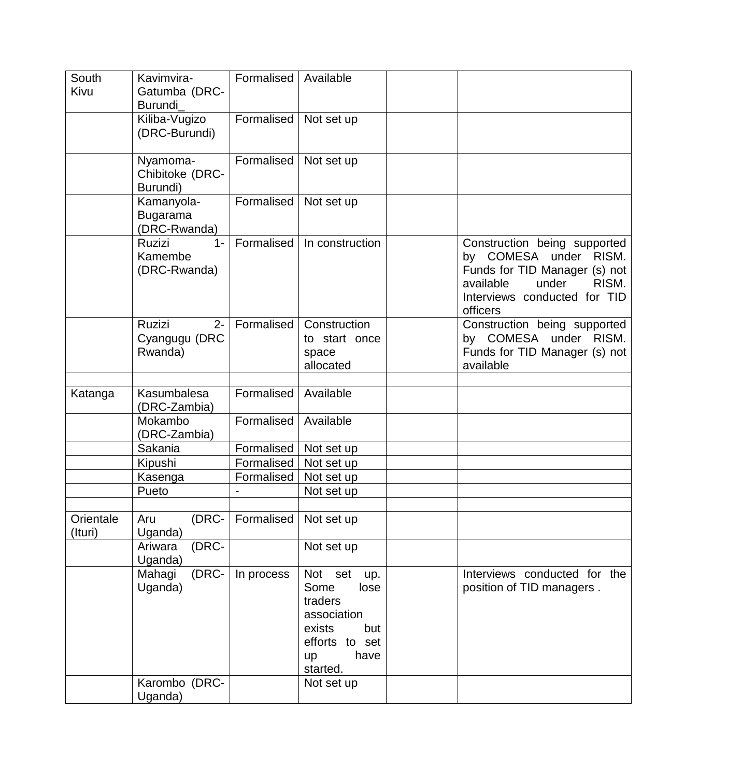| South<br>Kivu        | Kavimvira-<br>Gatumba (DRC-<br><b>Burundi</b>     | Formalised | Available                                                                                                                       |                                                                                                                                                                   |
|----------------------|---------------------------------------------------|------------|---------------------------------------------------------------------------------------------------------------------------------|-------------------------------------------------------------------------------------------------------------------------------------------------------------------|
|                      | Kiliba-Vugizo<br>(DRC-Burundi)                    | Formalised | Not set up                                                                                                                      |                                                                                                                                                                   |
|                      | Nyamoma-<br>Chibitoke (DRC-<br>Burundi)           | Formalised | Not set up                                                                                                                      |                                                                                                                                                                   |
|                      | Kamanyola-<br><b>Bugarama</b><br>(DRC-Rwanda)     | Formalised | Not set up                                                                                                                      |                                                                                                                                                                   |
|                      | <b>Ruzizi</b><br>$1 -$<br>Kamembe<br>(DRC-Rwanda) | Formalised | In construction                                                                                                                 | Construction being supported<br>by COMESA under RISM.<br>Funds for TID Manager (s) not<br>RISM.<br>available<br>under<br>Interviews conducted for TID<br>officers |
|                      | Ruzizi<br>$2 -$<br>Cyangugu (DRC<br>Rwanda)       | Formalised | Construction<br>to start once<br>space<br>allocated                                                                             | Construction being supported<br>by COMESA under RISM.<br>Funds for TID Manager (s) not<br>available                                                               |
| Katanga              | Kasumbalesa<br>(DRC-Zambia)                       | Formalised | Available                                                                                                                       |                                                                                                                                                                   |
|                      | Mokambo<br>(DRC-Zambia)                           | Formalised | Available                                                                                                                       |                                                                                                                                                                   |
|                      | Sakania                                           | Formalised | Not set up                                                                                                                      |                                                                                                                                                                   |
|                      | Kipushi                                           | Formalised | Not set up                                                                                                                      |                                                                                                                                                                   |
|                      | Kasenga                                           | Formalised | Not set up                                                                                                                      |                                                                                                                                                                   |
|                      | Pueto                                             |            | Not set up                                                                                                                      |                                                                                                                                                                   |
| Orientale<br>(Ituri) | (DRC-<br>Aru<br>Uganda)                           | Formalised | Not set up                                                                                                                      |                                                                                                                                                                   |
|                      | (DRC-<br>Ariwara<br>Uganda)                       |            | Not set up                                                                                                                      |                                                                                                                                                                   |
|                      | Mahagi<br>(DRC-<br>Uganda)                        | In process | Not<br>set<br>up.<br>Some<br>lose<br>traders<br>association<br>exists<br>but<br>efforts to set<br>have<br><b>up</b><br>started. | Interviews conducted for the<br>position of TID managers.                                                                                                         |
|                      | Karombo (DRC-<br>Uganda)                          |            | Not set up                                                                                                                      |                                                                                                                                                                   |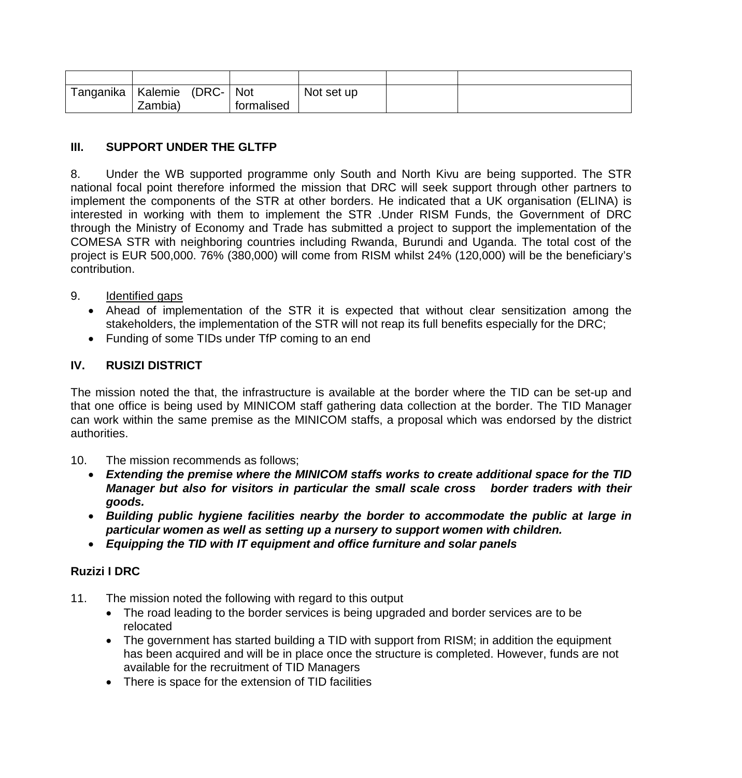| Tanganika | Kalemie | (DRC- | <b>Not</b> | Not set up |  |
|-----------|---------|-------|------------|------------|--|
|           | Zambia) |       | tormalised |            |  |

#### **III. SUPPORT UNDER THE GLTFP**

8. Under the WB supported programme only South and North Kivu are being supported. The STR national focal point therefore informed the mission that DRC will seek support through other partners to implement the components of the STR at other borders. He indicated that a UK organisation (ELINA) is interested in working with them to implement the STR .Under RISM Funds, the Government of DRC through the Ministry of Economy and Trade has submitted a project to support the implementation of the COMESA STR with neighboring countries including Rwanda, Burundi and Uganda. The total cost of the project is EUR 500,000. 76% (380,000) will come from RISM whilst 24% (120,000) will be the beneficiary's contribution.

#### 9. Identified gaps

- Ahead of implementation of the STR it is expected that without clear sensitization among the stakeholders, the implementation of the STR will not reap its full benefits especially for the DRC;
- Funding of some TIDs under TfP coming to an end

# **IV. RUSIZI DISTRICT**

The mission noted the that, the infrastructure is available at the border where the TID can be set-up and that one office is being used by MINICOM staff gathering data collection at the border. The TID Manager can work within the same premise as the MINICOM staffs, a proposal which was endorsed by the district authorities.

- 10. The mission recommends as follows;
	- *Extending the premise where the MINICOM staffs works to create additional space for the TID Manager but also for visitors in particular the small scale cross border traders with their goods.*
	- *Building public hygiene facilities nearby the border to accommodate the public at large in particular women as well as setting up a nursery to support women with children.*
	- *Equipping the TID with IT equipment and office furniture and solar panels*

# **Ruzizi I DRC**

- 11. The mission noted the following with regard to this output
	- The road leading to the border services is being upgraded and border services are to be relocated
	- The government has started building a TID with support from RISM; in addition the equipment has been acquired and will be in place once the structure is completed. However, funds are not available for the recruitment of TID Managers
	- There is space for the extension of TID facilities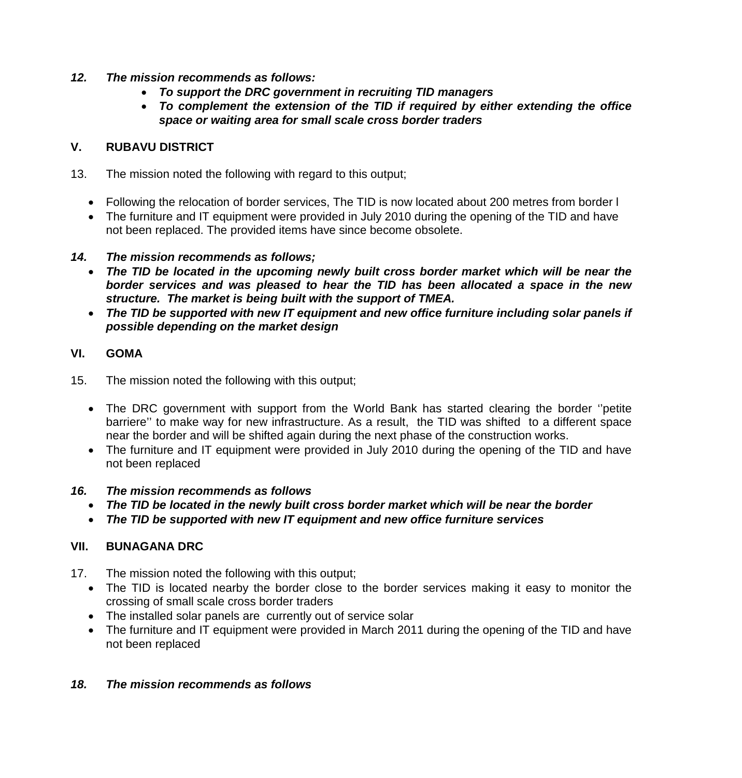- *12. The mission recommends as follows:* 
	- *To support the DRC government in recruiting TID managers*
	- *To complement the extension of the TID if required by either extending the office space or waiting area for small scale cross border traders*

# **V. RUBAVU DISTRICT**

- 13. The mission noted the following with regard to this output;
	- Following the relocation of border services, The TID is now located about 200 metres from border l
	- The furniture and IT equipment were provided in July 2010 during the opening of the TID and have not been replaced. The provided items have since become obsolete.

#### *14. The mission recommends as follows;*

- *The TID be located in the upcoming newly built cross border market which will be near the border services and was pleased to hear the TID has been allocated a space in the new structure. The market is being built with the support of TMEA.*
- *The TID be supported with new IT equipment and new office furniture including solar panels if possible depending on the market design*

# **VI. GOMA**

- 15. The mission noted the following with this output;
	- The DRC government with support from the World Bank has started clearing the border ''petite barriere'' to make way for new infrastructure. As a result, the TID was shifted to a different space near the border and will be shifted again during the next phase of the construction works.
	- The furniture and IT equipment were provided in July 2010 during the opening of the TID and have not been replaced

# *16. The mission recommends as follows*

- *The TID be located in the newly built cross border market which will be near the border*
- *The TID be supported with new IT equipment and new office furniture services*

# **VII. BUNAGANA DRC**

- 17. The mission noted the following with this output;
	- The TID is located nearby the border close to the border services making it easy to monitor the crossing of small scale cross border traders
	- The installed solar panels are currently out of service solar
	- The furniture and IT equipment were provided in March 2011 during the opening of the TID and have not been replaced

# *18. The mission recommends as follows*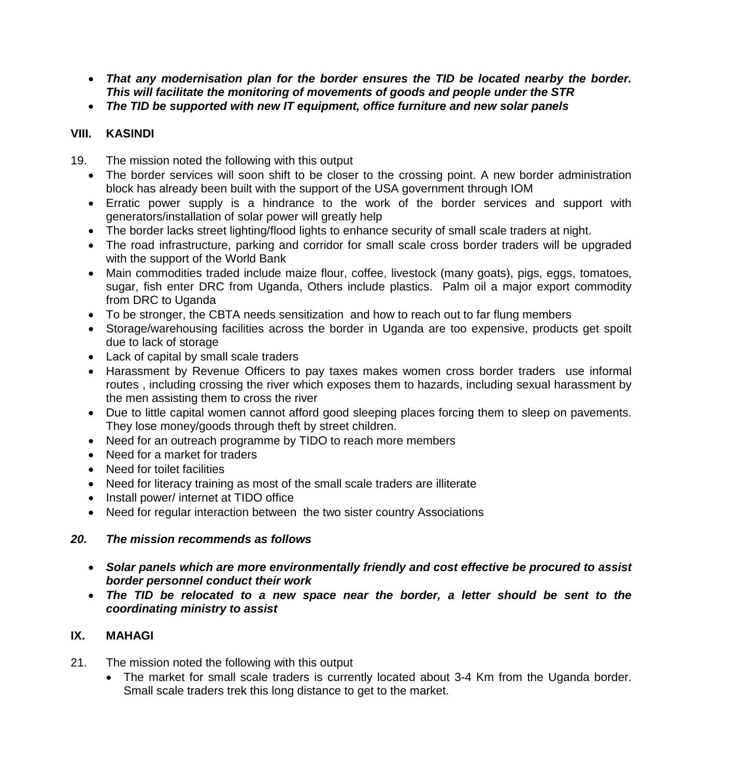- *That any modernisation plan for the border ensures the TID be located nearby the border. This will facilitate the monitoring of movements of goods and people under the STR*
- *The TID be supported with new IT equipment, office furniture and new solar panels*

# **VIII. KASINDI**

- 19. The mission noted the following with this output
	- The border services will soon shift to be closer to the crossing point. A new border administration block has already been built with the support of the USA government through IOM
	- Erratic power supply is a hindrance to the work of the border services and support with generators/installation of solar power will greatly help
	- The border lacks street lighting/flood lights to enhance security of small scale traders at night.
	- The road infrastructure, parking and corridor for small scale cross border traders will be upgraded with the support of the World Bank
	- Main commodities traded include maize flour, coffee, livestock (many goats), pigs, eggs, tomatoes, sugar, fish enter DRC from Uganda, Others include plastics. Palm oil a major export commodity from DRC to Uganda
	- To be stronger, the CBTA needs sensitization and how to reach out to far flung members
	- Storage/warehousing facilities across the border in Uganda are too expensive, products get spoilt due to lack of storage
	- Lack of capital by small scale traders
	- Harassment by Revenue Officers to pay taxes makes women cross border traders use informal routes , including crossing the river which exposes them to hazards, including sexual harassment by the men assisting them to cross the river
	- Due to little capital women cannot afford good sleeping places forcing them to sleep on pavements. They lose money/goods through theft by street children.
	- Need for an outreach programme by TIDO to reach more members
	- Need for a market for traders
	- Need for toilet facilities
	- Need for literacy training as most of the small scale traders are illiterate
	- Install power/ internet at TIDO office
	- Need for regular interaction between the two sister country Associations

# *20. The mission recommends as follows*

- *Solar panels which are more environmentally friendly and cost effective be procured to assist border personnel conduct their work*
- *The TID be relocated to a new space near the border, a letter should be sent to the coordinating ministry to assist*

# **IX. MAHAGI**

- 21. The mission noted the following with this output
	- The market for small scale traders is currently located about 3-4 Km from the Uganda border. Small scale traders trek this long distance to get to the market.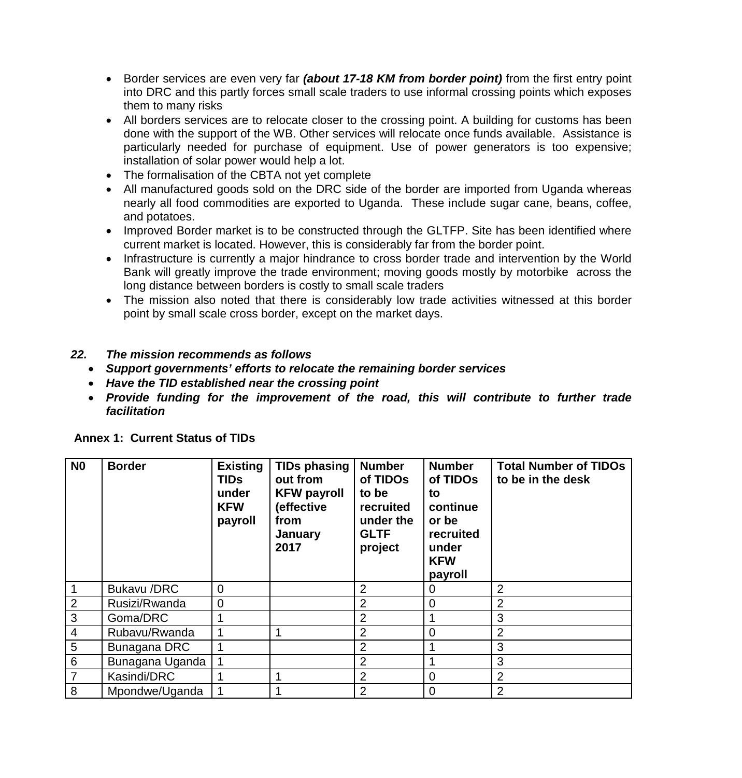- Border services are even very far *(about 17-18 KM from border point)* from the first entry point into DRC and this partly forces small scale traders to use informal crossing points which exposes them to many risks
- All borders services are to relocate closer to the crossing point. A building for customs has been done with the support of the WB. Other services will relocate once funds available. Assistance is particularly needed for purchase of equipment. Use of power generators is too expensive; installation of solar power would help a lot.
- The formalisation of the CBTA not yet complete
- All manufactured goods sold on the DRC side of the border are imported from Uganda whereas nearly all food commodities are exported to Uganda. These include sugar cane, beans, coffee, and potatoes.
- Improved Border market is to be constructed through the GLTFP. Site has been identified where current market is located. However, this is considerably far from the border point.
- Infrastructure is currently a major hindrance to cross border trade and intervention by the World Bank will greatly improve the trade environment; moving goods mostly by motorbike across the long distance between borders is costly to small scale traders
- The mission also noted that there is considerably low trade activities witnessed at this border point by small scale cross border, except on the market days.

#### *22. The mission recommends as follows*

- *Support governments' efforts to relocate the remaining border services*
- *Have the TID established near the crossing point*
- *Provide funding for the improvement of the road, this will contribute to further trade facilitation*

| N <sub>0</sub>  | <b>Border</b>      | <b>Existing</b><br><b>TIDs</b><br>under<br><b>KFW</b><br>payroll | <b>TIDs phasing</b><br>out from<br><b>KFW payroll</b><br>(effective<br>from<br>January<br>2017 | <b>Number</b><br>of TIDOs<br>to be<br>recruited<br>under the<br><b>GLTF</b><br>project | <b>Number</b><br>of TIDOs<br>to<br>continue<br>or be<br>recruited<br>under<br><b>KFW</b><br>payroll | <b>Total Number of TIDOs</b><br>to be in the desk |
|-----------------|--------------------|------------------------------------------------------------------|------------------------------------------------------------------------------------------------|----------------------------------------------------------------------------------------|-----------------------------------------------------------------------------------------------------|---------------------------------------------------|
| 1               | <b>Bukavu /DRC</b> | $\overline{0}$                                                   |                                                                                                | $\overline{2}$                                                                         | 0                                                                                                   | $\overline{2}$                                    |
| $\overline{2}$  | Rusizi/Rwanda      | $\mathbf 0$                                                      |                                                                                                | 2                                                                                      | 0                                                                                                   | 2                                                 |
| 3               | Goma/DRC           |                                                                  |                                                                                                | 2                                                                                      |                                                                                                     | 3                                                 |
| $\overline{4}$  | Rubavu/Rwanda      |                                                                  |                                                                                                | 2                                                                                      | 0                                                                                                   | $\overline{2}$                                    |
| 5               | Bunagana DRC       |                                                                  |                                                                                                | 2                                                                                      |                                                                                                     | 3                                                 |
| $6\phantom{1}6$ | Bunagana Uganda    |                                                                  |                                                                                                | 2                                                                                      |                                                                                                     | 3                                                 |
|                 | Kasindi/DRC        |                                                                  |                                                                                                | 2                                                                                      | 0                                                                                                   | $\overline{2}$                                    |
| 8               | Mpondwe/Uganda     |                                                                  |                                                                                                | 2                                                                                      | 0                                                                                                   | 2                                                 |

#### **Annex 1: Current Status of TIDs**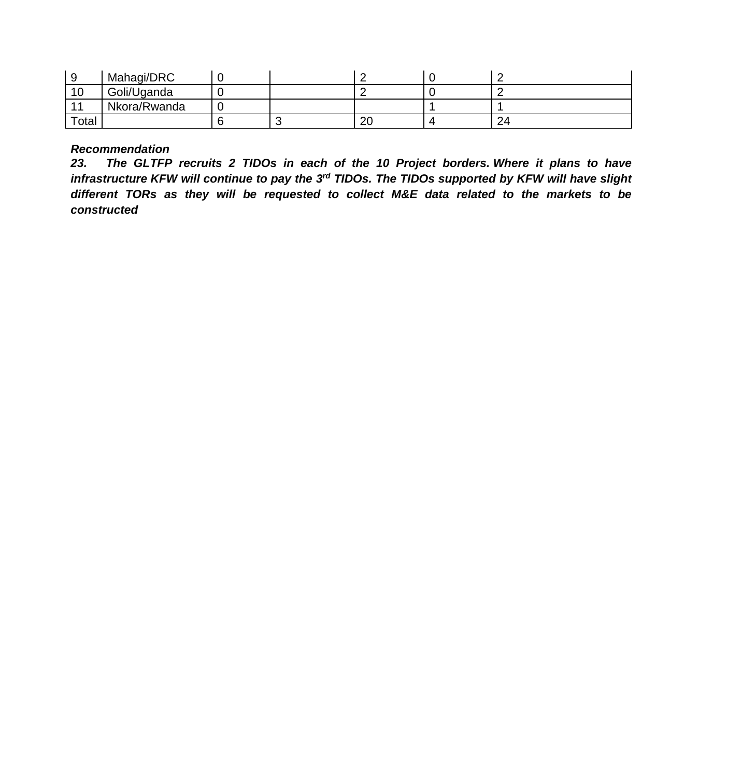|       | Mahaqi/DRC   |  |          |    |
|-------|--------------|--|----------|----|
| 10    | Goli/Uganda  |  |          |    |
|       | Nkora/Rwanda |  |          |    |
| Total |              |  | ററ<br>∠∪ | 24 |

# *Recommendation*

*23. The GLTFP recruits 2 TIDOs in each of the 10 Project borders. Where it plans to have infrastructure KFW will continue to pay the 3rd TIDOs. The TIDOs supported by KFW will have slight different TORs as they will be requested to collect M&E data related to the markets to be constructed*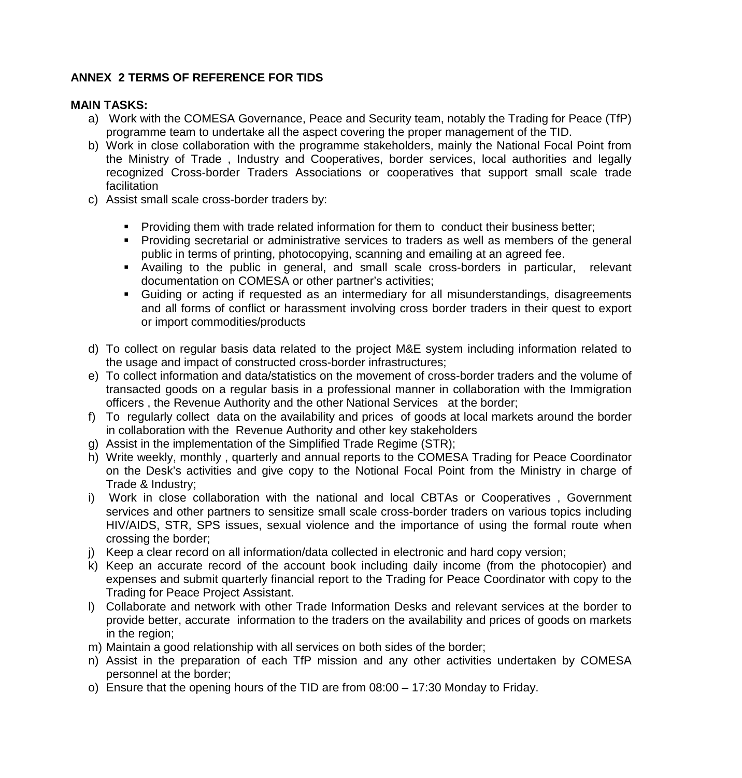# **ANNEX 2 TERMS OF REFERENCE FOR TIDS**

#### **MAIN TASKS:**

- a) Work with the COMESA Governance, Peace and Security team, notably the Trading for Peace (TfP) programme team to undertake all the aspect covering the proper management of the TID.
- b) Work in close collaboration with the programme stakeholders, mainly the National Focal Point from the Ministry of Trade , Industry and Cooperatives, border services, local authorities and legally recognized Cross-border Traders Associations or cooperatives that support small scale trade facilitation
- c) Assist small scale cross-border traders by:
	- **Providing them with trade related information for them to conduct their business better;**
	- Providing secretarial or administrative services to traders as well as members of the general public in terms of printing, photocopying, scanning and emailing at an agreed fee.
	- Availing to the public in general, and small scale cross-borders in particular, relevant documentation on COMESA or other partner's activities;
	- Guiding or acting if requested as an intermediary for all misunderstandings, disagreements and all forms of conflict or harassment involving cross border traders in their quest to export or import commodities/products
- d) To collect on regular basis data related to the project M&E system including information related to the usage and impact of constructed cross-border infrastructures;
- e) To collect information and data/statistics on the movement of cross-border traders and the volume of transacted goods on a regular basis in a professional manner in collaboration with the Immigration officers , the Revenue Authority and the other National Services at the border;
- f) To regularly collect data on the availability and prices of goods at local markets around the border in collaboration with the Revenue Authority and other key stakeholders
- g) Assist in the implementation of the Simplified Trade Regime (STR);
- h) Write weekly, monthly , quarterly and annual reports to the COMESA Trading for Peace Coordinator on the Desk's activities and give copy to the Notional Focal Point from the Ministry in charge of Trade & Industry;
- i) Work in close collaboration with the national and local CBTAs or Cooperatives , Government services and other partners to sensitize small scale cross-border traders on various topics including HIV/AIDS, STR, SPS issues, sexual violence and the importance of using the formal route when crossing the border;
- j) Keep a clear record on all information/data collected in electronic and hard copy version;
- k) Keep an accurate record of the account book including daily income (from the photocopier) and expenses and submit quarterly financial report to the Trading for Peace Coordinator with copy to the Trading for Peace Project Assistant.
- l) Collaborate and network with other Trade Information Desks and relevant services at the border to provide better, accurate information to the traders on the availability and prices of goods on markets in the region;
- m) Maintain a good relationship with all services on both sides of the border;
- n) Assist in the preparation of each TfP mission and any other activities undertaken by COMESA personnel at the border;
- o) Ensure that the opening hours of the TID are from 08:00 17:30 Monday to Friday.